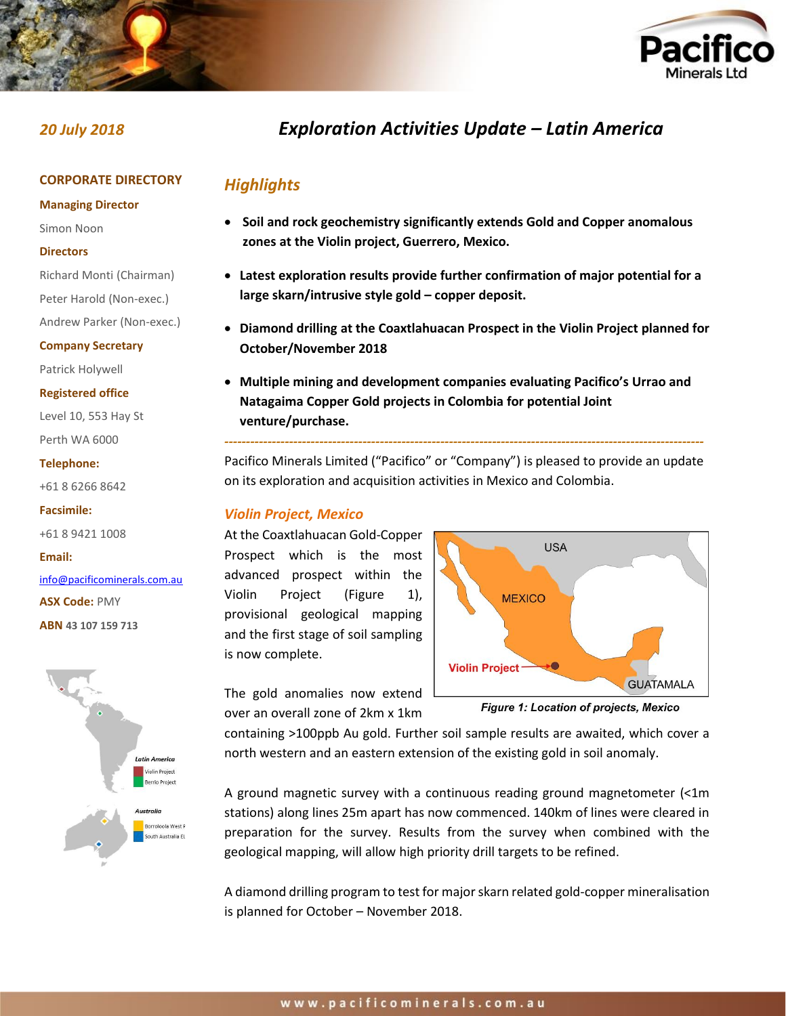



#### **CORPORATE DIRECTORY**

#### **Managing Director**

Simon Noon

#### **Directors**

Richard Monti (Chairman)

Peter Harold (Non-exec.)

Andrew Parker (Non-exec.)

#### **Company Secretary**

Patrick Holywell

#### **Registered office**

Level 10, 553 Hay St Perth WA 6000

#### **Telephone:**

+61 8 6266 8642

#### **Facsimile:**

+61 8 9421 1008

#### **Email:**

[info@pacificominerals.com.au](mailto:info@pacificominerals.com.au) **ASX Code:** PMY **ABN 43 107 159 713**



# *20 July 2018 Exploration Activities Update – Latin America*

## *Highlights*

- **Soil and rock geochemistry significantly extends Gold and Copper anomalous zones at the Violin project, Guerrero, Mexico.**
- **Latest exploration results provide further confirmation of major potential for a large skarn/intrusive style gold – copper deposit.**
- **Diamond drilling at the Coaxtlahuacan Prospect in the Violin Project planned for October/November 2018**
- **Multiple mining and development companies evaluating Pacifico's Urrao and Natagaima Copper Gold projects in Colombia for potential Joint venture/purchase.**

Pacifico Minerals Limited ("Pacifico" or "Company") is pleased to provide an update on its exploration and acquisition activities in Mexico and Colombia.

*---------------------------------------------------------------------------------------------------------------*

### *Violin Project, Mexico*

At the Coaxtlahuacan Gold-Copper Prospect which is the most advanced prospect within the Violin Project (Figure 1), provisional geological mapping and the first stage of soil sampling is now complete.



The gold anomalies now extend over an overall zone of 2km x 1km

Figure 1: Location of projects, Mexico

containing >100ppb Au gold. Further soil sample results are awaited, which cover a north western and an eastern extension of the existing gold in soil anomaly.

A ground magnetic survey with a continuous reading ground magnetometer (<1m stations) along lines 25m apart has now commenced. 140km of lines were cleared in preparation for the survey. Results from the survey when combined with the geological mapping, will allow high priority drill targets to be refined.

A diamond drilling program to test for major skarn related gold-copper mineralisation is planned for October – November 2018.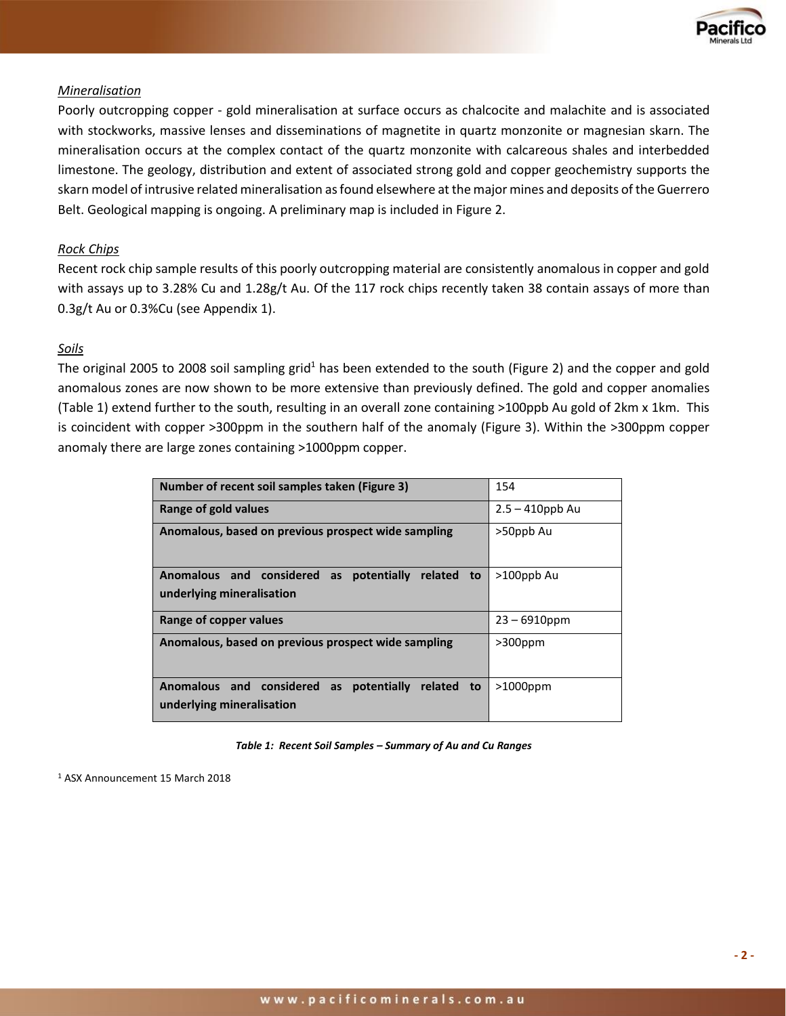

#### *Mineralisation*

Poorly outcropping copper - gold mineralisation at surface occurs as chalcocite and malachite and is associated with stockworks, massive lenses and disseminations of magnetite in quartz monzonite or magnesian skarn. The mineralisation occurs at the complex contact of the quartz monzonite with calcareous shales and interbedded limestone. The geology, distribution and extent of associated strong gold and copper geochemistry supports the skarn model of intrusive related mineralisation as found elsewhere at the major mines and deposits of the Guerrero Belt. Geological mapping is ongoing. A preliminary map is included in Figure 2.

#### *Rock Chips*

Recent rock chip sample results of this poorly outcropping material are consistently anomalous in copper and gold with assays up to 3.28% Cu and 1.28g/t Au. Of the 117 rock chips recently taken 38 contain assays of more than 0.3g/t Au or 0.3%Cu (see Appendix 1).

#### *Soils*

The original 2005 to 2008 soil sampling grid<sup>1</sup> has been extended to the south (Figure 2) and the copper and gold anomalous zones are now shown to be more extensive than previously defined. The gold and copper anomalies (Table 1) extend further to the south, resulting in an overall zone containing >100ppb Au gold of 2km x 1km. This is coincident with copper >300ppm in the southern half of the anomaly (Figure 3). Within the >300ppm copper anomaly there are large zones containing >1000ppm copper.

| Number of recent soil samples taken (Figure 3)                                               | 154                |
|----------------------------------------------------------------------------------------------|--------------------|
| Range of gold values                                                                         | $2.5 - 410$ ppb Au |
| Anomalous, based on previous prospect wide sampling                                          | >50ppb Au          |
| Anomalous and considered as potentially<br>related to<br>underlying mineralisation           | >100ppb Au         |
| Range of copper values                                                                       | $23 - 6910$ ppm    |
| Anomalous, based on previous prospect wide sampling                                          | $>300$ ppm         |
| and considered as potentially<br><b>Anomalous</b><br>related to<br>underlying mineralisation | $>1000$ ppm        |

*Table 1: Recent Soil Samples – Summary of Au and Cu Ranges*

<sup>1</sup> ASX Announcement 15 March 2018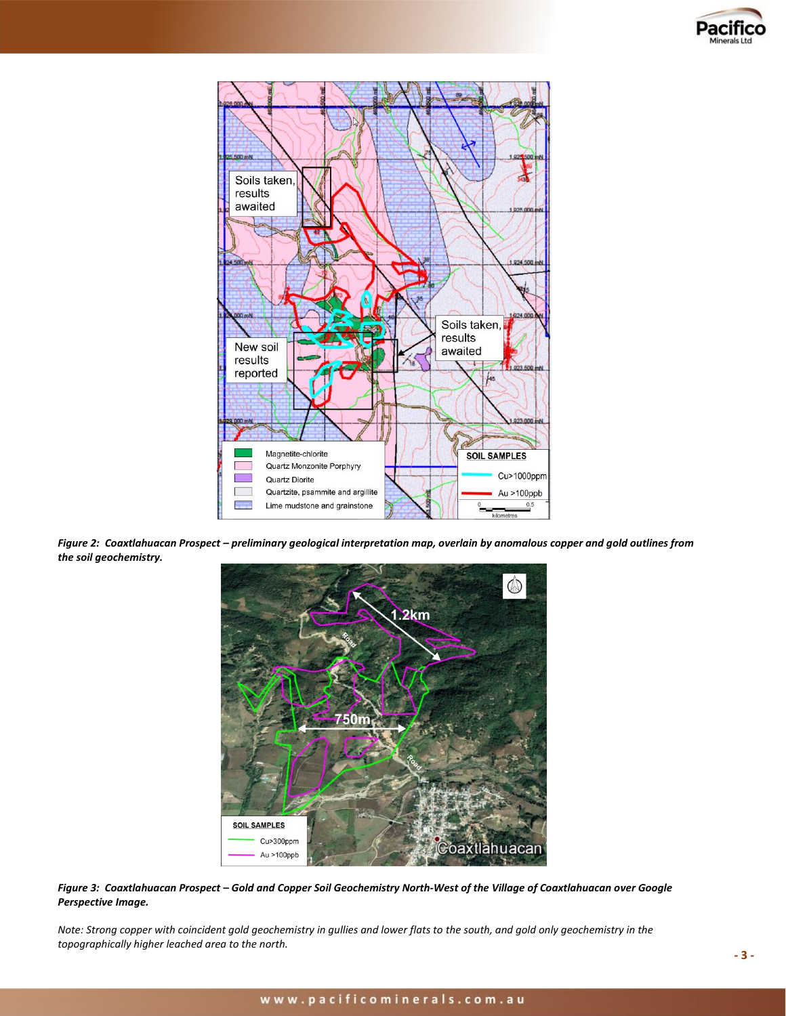



*Figure 2: Coaxtlahuacan Prospect – preliminary geological interpretation map, overlain by anomalous copper and gold outlines from the soil geochemistry.*



*Figure 3: Coaxtlahuacan Prospect – Gold and Copper Soil Geochemistry North-West of the Village of Coaxtlahuacan over Google Perspective Image.* 

*Note: Strong copper with coincident gold geochemistry in gullies and lower flats to the south, and gold only geochemistry in the topographically higher leached area to the north.*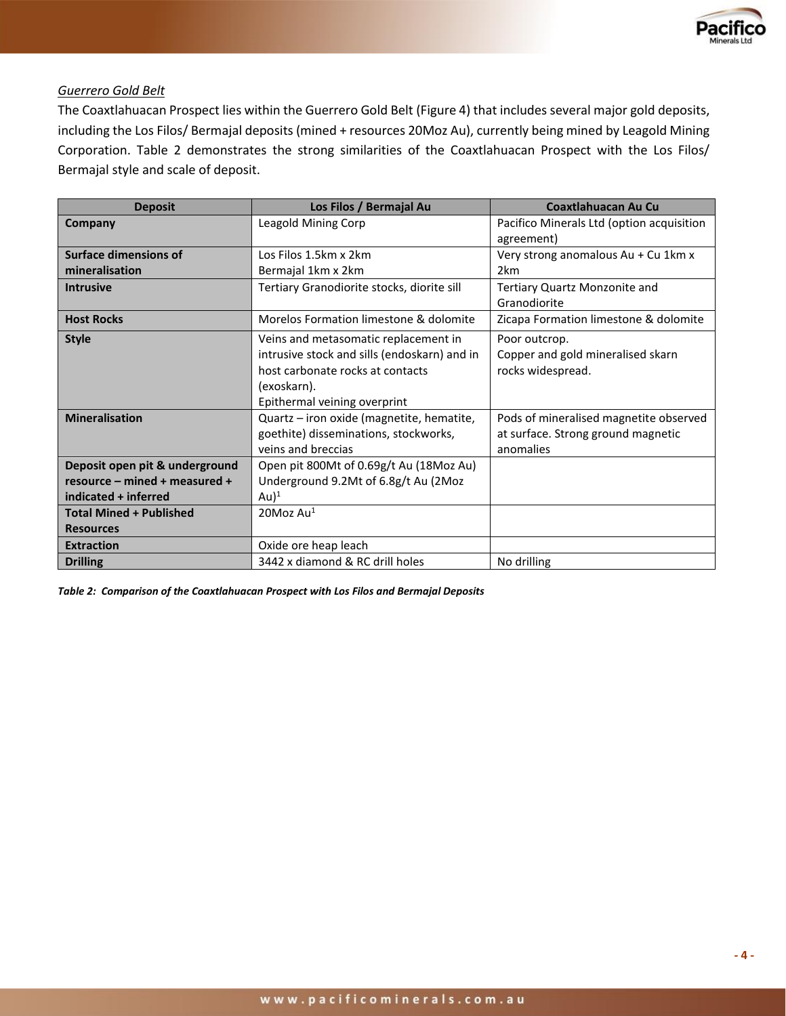

#### *Guerrero Gold Belt*

The Coaxtlahuacan Prospect lies within the Guerrero Gold Belt (Figure 4) that includes several major gold deposits, including the Los Filos/ Bermajal deposits (mined + resources 20Moz Au), currently being mined by Leagold Mining Corporation. Table 2 demonstrates the strong similarities of the Coaxtlahuacan Prospect with the Los Filos/ Bermajal style and scale of deposit.

| <b>Deposit</b>                 | Los Filos / Bermajal Au                      | <b>Coaxtlahuacan Au Cu</b>                              |  |
|--------------------------------|----------------------------------------------|---------------------------------------------------------|--|
| Company                        | Leagold Mining Corp                          | Pacifico Minerals Ltd (option acquisition<br>agreement) |  |
| <b>Surface dimensions of</b>   | Los Filos 1.5km x 2km                        | Very strong anomalous Au + Cu 1km x                     |  |
| mineralisation                 | Bermajal 1km x 2km                           | 2 <sub>km</sub>                                         |  |
| <b>Intrusive</b>               | Tertiary Granodiorite stocks, diorite sill   | Tertiary Quartz Monzonite and                           |  |
|                                |                                              | Granodiorite                                            |  |
| <b>Host Rocks</b>              | Morelos Formation limestone & dolomite       | Zicapa Formation limestone & dolomite                   |  |
| <b>Style</b>                   | Veins and metasomatic replacement in         | Poor outcrop.                                           |  |
|                                | intrusive stock and sills (endoskarn) and in | Copper and gold mineralised skarn                       |  |
|                                | host carbonate rocks at contacts             | rocks widespread.                                       |  |
|                                | (exoskarn).                                  |                                                         |  |
|                                | Epithermal veining overprint                 |                                                         |  |
| <b>Mineralisation</b>          | Quartz - iron oxide (magnetite, hematite,    | Pods of mineralised magnetite observed                  |  |
|                                | goethite) disseminations, stockworks,        | at surface. Strong ground magnetic                      |  |
|                                | veins and breccias                           | anomalies                                               |  |
| Deposit open pit & underground | Open pit 800Mt of 0.69g/t Au (18Moz Au)      |                                                         |  |
| resource - mined + measured +  | Underground 9.2Mt of 6.8g/t Au (2Moz         |                                                         |  |
| indicated + inferred           | Au $)^1$                                     |                                                         |  |
| <b>Total Mined + Published</b> | 20Moz Au <sup>1</sup>                        |                                                         |  |
| <b>Resources</b>               |                                              |                                                         |  |
| <b>Extraction</b>              | Oxide ore heap leach                         |                                                         |  |
| <b>Drilling</b>                | 3442 x diamond & RC drill holes              | No drilling                                             |  |

*Table 2: Comparison of the Coaxtlahuacan Prospect with Los Filos and Bermajal Deposits*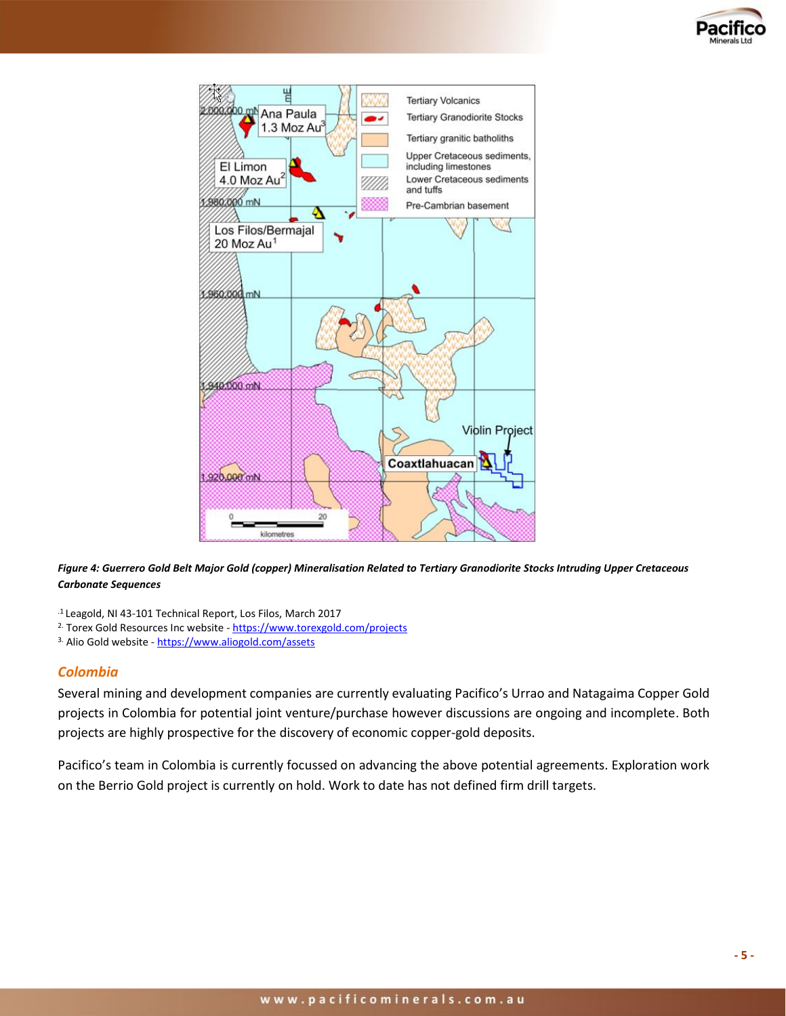



*Figure 4: Guerrero Gold Belt Major Gold (copper) Mineralisation Related to Tertiary Granodiorite Stocks Intruding Upper Cretaceous Carbonate Sequences*

.1 Leagold, NI 43-101 Technical Report, Los Filos, March 2017

- 2. Torex Gold Resources Inc website https://www.torexgold.com/projects
- 3. Alio Gold website <https://www.aliogold.com/assets>

#### *Colombia*

Several mining and development companies are currently evaluating Pacifico's Urrao and Natagaima Copper Gold projects in Colombia for potential joint venture/purchase however discussions are ongoing and incomplete. Both projects are highly prospective for the discovery of economic copper-gold deposits.

Pacifico's team in Colombia is currently focussed on advancing the above potential agreements. Exploration work on the Berrio Gold project is currently on hold. Work to date has not defined firm drill targets.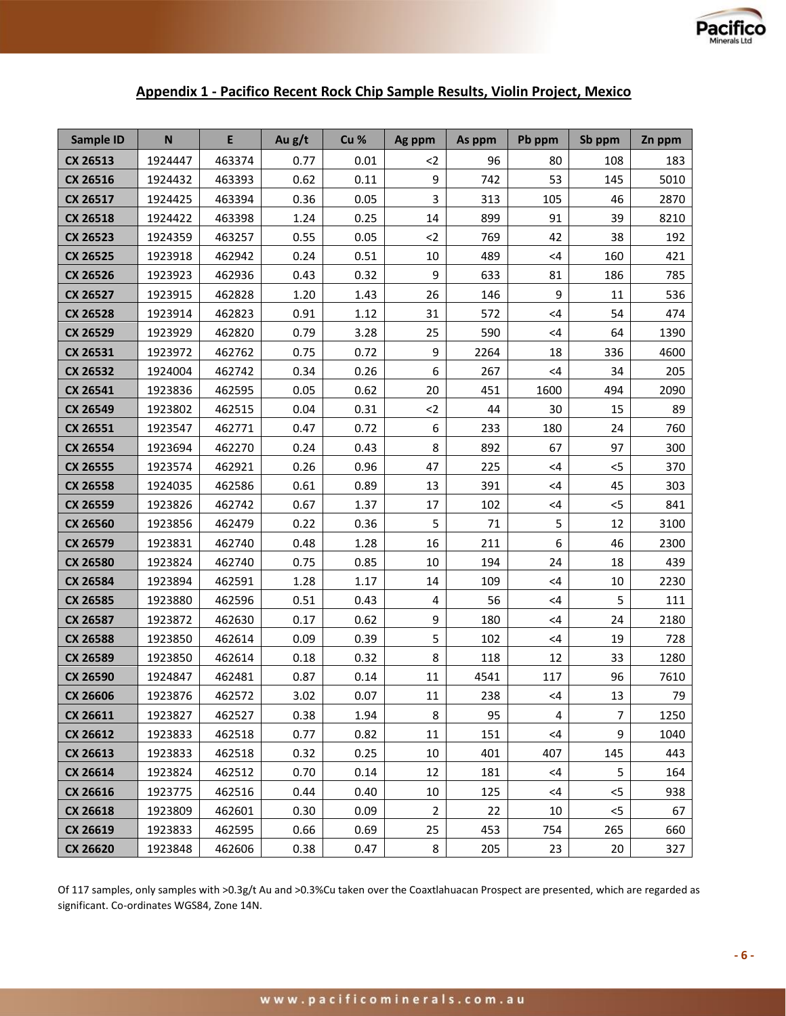

## **Appendix 1 - Pacifico Recent Rock Chip Sample Results, Violin Project, Mexico**

| <b>Sample ID</b> | ${\sf N}$ | E      | Au g/t | Cu % | Ag ppm         | As ppm | Pb ppm   | Sb ppm         | Zn ppm |
|------------------|-----------|--------|--------|------|----------------|--------|----------|----------------|--------|
| <b>CX 26513</b>  | 1924447   | 463374 | 0.77   | 0.01 | $<$ 2          | 96     | 80       | 108            | 183    |
| CX 26516         | 1924432   | 463393 | 0.62   | 0.11 | 9              | 742    | 53       | 145            | 5010   |
| CX 26517         | 1924425   | 463394 | 0.36   | 0.05 | 3              | 313    | 105      | 46             | 2870   |
| <b>CX 26518</b>  | 1924422   | 463398 | 1.24   | 0.25 | 14             | 899    | 91       | 39             | 8210   |
| CX 26523         | 1924359   | 463257 | 0.55   | 0.05 | $<$ 2          | 769    | 42       | 38             | 192    |
| <b>CX 26525</b>  | 1923918   | 462942 | 0.24   | 0.51 | 10             | 489    | $<$ 4    | 160            | 421    |
| CX 26526         | 1923923   | 462936 | 0.43   | 0.32 | 9              | 633    | 81       | 186            | 785    |
| CX 26527         | 1923915   | 462828 | 1.20   | 1.43 | 26             | 146    | 9        | 11             | 536    |
| <b>CX 26528</b>  | 1923914   | 462823 | 0.91   | 1.12 | 31             | 572    | $<$ 4    | 54             | 474    |
| CX 26529         | 1923929   | 462820 | 0.79   | 3.28 | 25             | 590    | <4       | 64             | 1390   |
| CX 26531         | 1923972   | 462762 | 0.75   | 0.72 | 9              | 2264   | 18       | 336            | 4600   |
| CX 26532         | 1924004   | 462742 | 0.34   | 0.26 | 6              | 267    | <4       | 34             | 205    |
| CX 26541         | 1923836   | 462595 | 0.05   | 0.62 | 20             | 451    | 1600     | 494            | 2090   |
| CX 26549         | 1923802   | 462515 | 0.04   | 0.31 | $2$            | 44     | 30       | 15             | 89     |
| CX 26551         | 1923547   | 462771 | 0.47   | 0.72 | 6              | 233    | 180      | 24             | 760    |
| CX 26554         | 1923694   | 462270 | 0.24   | 0.43 | 8              | 892    | 67       | 97             | 300    |
| <b>CX 26555</b>  | 1923574   | 462921 | 0.26   | 0.96 | 47             | 225    | <4       | $<$ 5          | 370    |
| <b>CX 26558</b>  | 1924035   | 462586 | 0.61   | 0.89 | 13             | 391    | <4       | 45             | 303    |
| CX 26559         | 1923826   | 462742 | 0.67   | 1.37 | 17             | 102    | $\leq 4$ | $<$ 5          | 841    |
| CX 26560         | 1923856   | 462479 | 0.22   | 0.36 | 5              | 71     | 5        | 12             | 3100   |
| CX 26579         | 1923831   | 462740 | 0.48   | 1.28 | 16             | 211    | 6        | 46             | 2300   |
| CX 26580         | 1923824   | 462740 | 0.75   | 0.85 | 10             | 194    | 24       | 18             | 439    |
| CX 26584         | 1923894   | 462591 | 1.28   | 1.17 | 14             | 109    | $<$ 4    | 10             | 2230   |
| CX 26585         | 1923880   | 462596 | 0.51   | 0.43 | 4              | 56     | $<$ 4    | 5              | 111    |
| CX 26587         | 1923872   | 462630 | 0.17   | 0.62 | 9              | 180    | <4       | 24             | 2180   |
| CX 26588         | 1923850   | 462614 | 0.09   | 0.39 | 5              | 102    | $<$ 4    | 19             | 728    |
| CX 26589         | 1923850   | 462614 | 0.18   | 0.32 | 8              | 118    | 12       | 33             | 1280   |
| CX 26590         | 1924847   | 462481 | 0.87   | 0.14 | 11             | 4541   | 117      | 96             | 7610   |
| CX 26606         | 1923876   | 462572 | 3.02   | 0.07 | 11             | 238    | $<$ 4    | 13             | 79     |
| CX 26611         | 1923827   | 462527 | 0.38   | 1.94 | 8              | 95     | 4        | $\overline{7}$ | 1250   |
| CX 26612         | 1923833   | 462518 | 0.77   | 0.82 | 11             | 151    | $<$ 4    | 9              | 1040   |
| CX 26613         | 1923833   | 462518 | 0.32   | 0.25 | 10             | 401    | 407      | 145            | 443    |
| <b>CX 26614</b>  | 1923824   | 462512 | 0.70   | 0.14 | 12             | 181    | <4       | 5              | 164    |
| CX 26616         | 1923775   | 462516 | 0.44   | 0.40 | 10             | 125    | $<$ 4    | $<$ 5          | 938    |
| CX 26618         | 1923809   | 462601 | 0.30   | 0.09 | $\overline{2}$ | 22     | 10       | $<$ 5          | 67     |
| CX 26619         | 1923833   | 462595 | 0.66   | 0.69 | 25             | 453    | 754      | 265            | 660    |
| CX 26620         | 1923848   | 462606 | 0.38   | 0.47 | 8              | 205    | 23       | 20             | 327    |

Of 117 samples, only samples with >0.3g/t Au and >0.3%Cu taken over the Coaxtlahuacan Prospect are presented, which are regarded as significant. Co-ordinates WGS84, Zone 14N.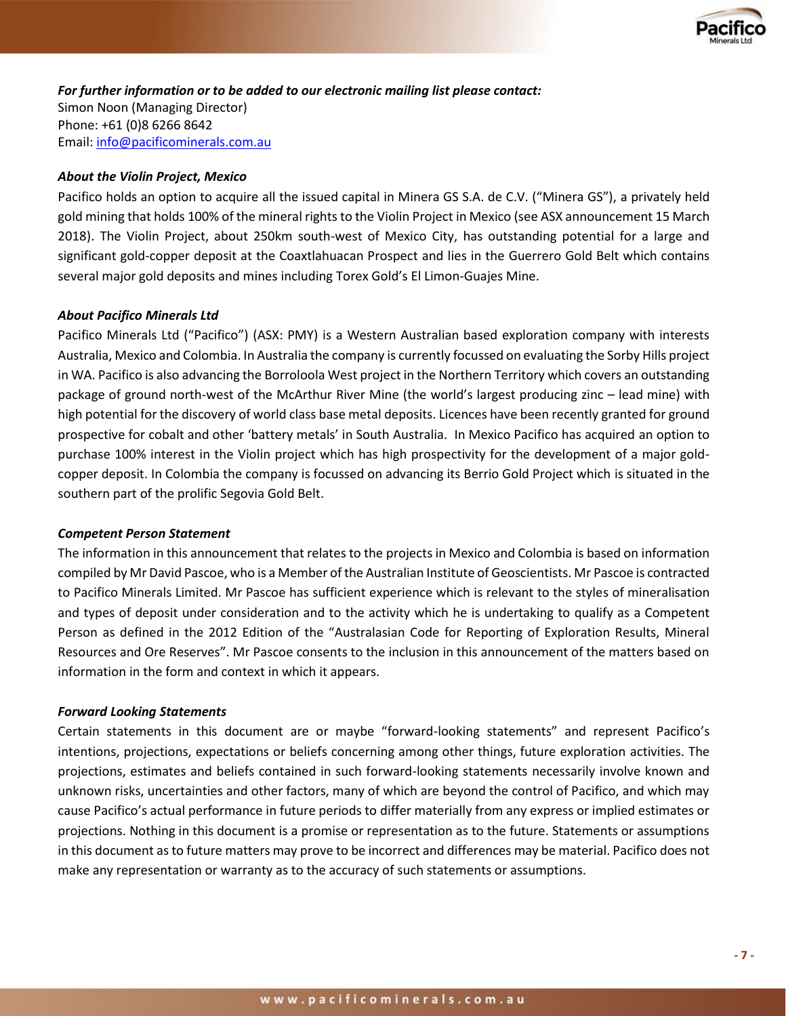

*For further information or to be added to our electronic mailing list please contact:*  Simon Noon (Managing Director) Phone: +61 (0)8 6266 8642 Email: [info@pacificominerals.com.au](mailto:info@pacificominerals.com.au)

#### *About the Violin Project, Mexico*

Pacifico holds an option to acquire all the issued capital in Minera GS S.A. de C.V. ("Minera GS"), a privately held gold mining that holds 100% of the mineral rights to the Violin Project in Mexico (see ASX announcement 15 March 2018). The Violin Project, about 250km south-west of Mexico City, has outstanding potential for a large and significant gold-copper deposit at the Coaxtlahuacan Prospect and lies in the Guerrero Gold Belt which contains several major gold deposits and mines including Torex Gold's El Limon-Guajes Mine.

#### *About Pacifico Minerals Ltd*

Pacifico Minerals Ltd ("Pacifico") (ASX: PMY) is a Western Australian based exploration company with interests Australia, Mexico and Colombia. In Australia the company is currently focussed on evaluating the Sorby Hills project in WA. Pacifico is also advancing the Borroloola West project in the Northern Territory which covers an outstanding package of ground north-west of the McArthur River Mine (the world's largest producing zinc – lead mine) with high potential for the discovery of world class base metal deposits. Licences have been recently granted for ground prospective for cobalt and other 'battery metals' in South Australia. In Mexico Pacifico has acquired an option to purchase 100% interest in the Violin project which has high prospectivity for the development of a major goldcopper deposit. In Colombia the company is focussed on advancing its Berrio Gold Project which is situated in the southern part of the prolific Segovia Gold Belt.

#### *Competent Person Statement*

The information in this announcement that relates to the projects in Mexico and Colombia is based on information compiled by Mr David Pascoe, who is a Member of the Australian Institute of Geoscientists. Mr Pascoe is contracted to Pacifico Minerals Limited. Mr Pascoe has sufficient experience which is relevant to the styles of mineralisation and types of deposit under consideration and to the activity which he is undertaking to qualify as a Competent Person as defined in the 2012 Edition of the "Australasian Code for Reporting of Exploration Results, Mineral Resources and Ore Reserves". Mr Pascoe consents to the inclusion in this announcement of the matters based on information in the form and context in which it appears.

#### *Forward Looking Statements*

Certain statements in this document are or maybe "forward-looking statements" and represent Pacifico's intentions, projections, expectations or beliefs concerning among other things, future exploration activities. The projections, estimates and beliefs contained in such forward-looking statements necessarily involve known and unknown risks, uncertainties and other factors, many of which are beyond the control of Pacifico, and which may cause Pacifico's actual performance in future periods to differ materially from any express or implied estimates or projections. Nothing in this document is a promise or representation as to the future. Statements or assumptions in this document as to future matters may prove to be incorrect and differences may be material. Pacifico does not make any representation or warranty as to the accuracy of such statements or assumptions.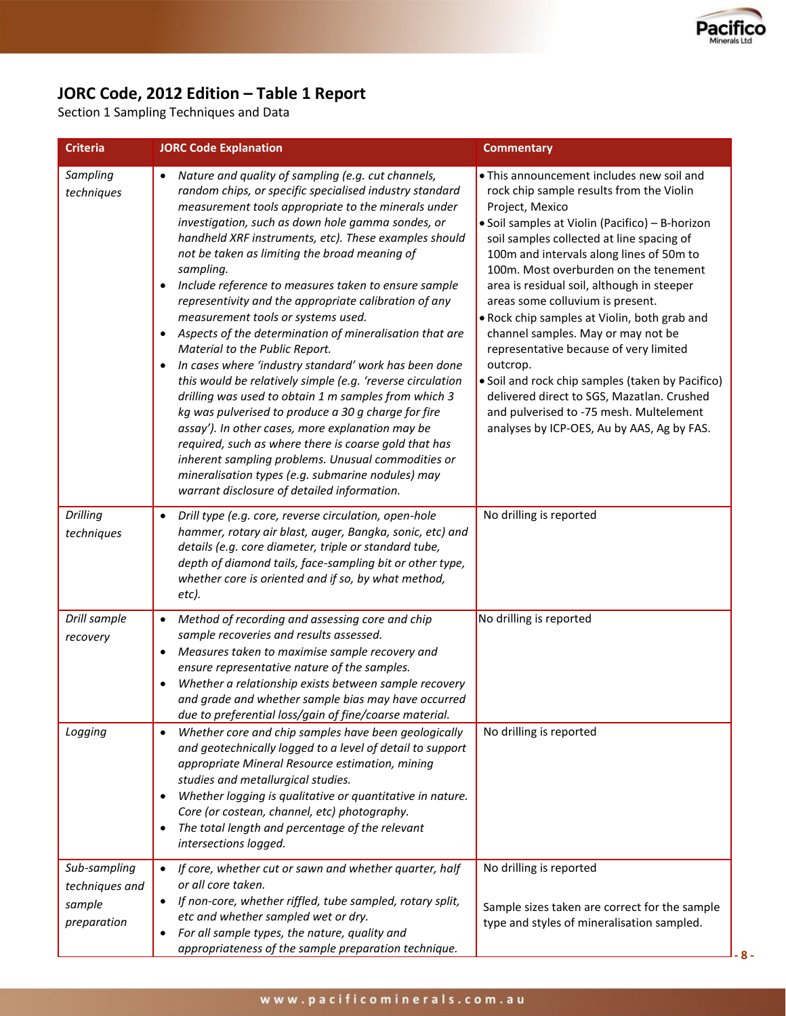

# **JORC Code, 2012 Edition – Table 1 Report**

Section 1 Sampling Techniques and Data

| <b>Criteria</b>                                         | <b>JORC Code Explanation</b>                                                                                                                                                                                                                                                                                                                                                                                                                                                                                                                                                                                                                                                                                                                                                                                                                                                                                                                                                                                                                                                                                                                | <b>Commentary</b>                                                                                                                                                                                                                                                                                                                                                                                                                                                                                                                                                                                                                                                                                                      |
|---------------------------------------------------------|---------------------------------------------------------------------------------------------------------------------------------------------------------------------------------------------------------------------------------------------------------------------------------------------------------------------------------------------------------------------------------------------------------------------------------------------------------------------------------------------------------------------------------------------------------------------------------------------------------------------------------------------------------------------------------------------------------------------------------------------------------------------------------------------------------------------------------------------------------------------------------------------------------------------------------------------------------------------------------------------------------------------------------------------------------------------------------------------------------------------------------------------|------------------------------------------------------------------------------------------------------------------------------------------------------------------------------------------------------------------------------------------------------------------------------------------------------------------------------------------------------------------------------------------------------------------------------------------------------------------------------------------------------------------------------------------------------------------------------------------------------------------------------------------------------------------------------------------------------------------------|
| Sampling<br>techniques                                  | Nature and quality of sampling (e.g. cut channels,<br>$\bullet$<br>random chips, or specific specialised industry standard<br>measurement tools appropriate to the minerals under<br>investigation, such as down hole gamma sondes, or<br>handheld XRF instruments, etc). These examples should<br>not be taken as limiting the broad meaning of<br>sampling.<br>Include reference to measures taken to ensure sample<br>$\bullet$<br>representivity and the appropriate calibration of any<br>measurement tools or systems used.<br>Aspects of the determination of mineralisation that are<br>Material to the Public Report.<br>In cases where 'industry standard' work has been done<br>this would be relatively simple (e.g. 'reverse circulation<br>drilling was used to obtain 1 m samples from which 3<br>kg was pulverised to produce a 30 g charge for fire<br>assay'). In other cases, more explanation may be<br>required, such as where there is coarse gold that has<br>inherent sampling problems. Unusual commodities or<br>mineralisation types (e.g. submarine nodules) may<br>warrant disclosure of detailed information. | • This announcement includes new soil and<br>rock chip sample results from the Violin<br>Project, Mexico<br>• Soil samples at Violin (Pacifico) - B-horizon<br>soil samples collected at line spacing of<br>100m and intervals along lines of 50m to<br>100m. Most overburden on the tenement<br>area is residual soil, although in steeper<br>areas some colluvium is present.<br>. Rock chip samples at Violin, both grab and<br>channel samples. May or may not be<br>representative because of very limited<br>outcrop.<br>• Soil and rock chip samples (taken by Pacifico)<br>delivered direct to SGS, Mazatlan. Crushed<br>and pulverised to -75 mesh. Multelement<br>analyses by ICP-OES, Au by AAS, Ag by FAS. |
| <b>Drilling</b><br>techniques                           | Drill type (e.g. core, reverse circulation, open-hole<br>hammer, rotary air blast, auger, Bangka, sonic, etc) and<br>details (e.g. core diameter, triple or standard tube,<br>depth of diamond tails, face-sampling bit or other type,<br>whether core is oriented and if so, by what method,<br>etc).                                                                                                                                                                                                                                                                                                                                                                                                                                                                                                                                                                                                                                                                                                                                                                                                                                      | No drilling is reported                                                                                                                                                                                                                                                                                                                                                                                                                                                                                                                                                                                                                                                                                                |
| Drill sample<br>recovery                                | Method of recording and assessing core and chip<br>$\bullet$<br>sample recoveries and results assessed.<br>Measures taken to maximise sample recovery and<br>$\bullet$<br>ensure representative nature of the samples.<br>Whether a relationship exists between sample recovery<br>and grade and whether sample bias may have occurred<br>due to preferential loss/gain of fine/coarse material.                                                                                                                                                                                                                                                                                                                                                                                                                                                                                                                                                                                                                                                                                                                                            | No drilling is reported                                                                                                                                                                                                                                                                                                                                                                                                                                                                                                                                                                                                                                                                                                |
| Logging                                                 | Whether core and chip samples have been geologically<br>$\bullet$<br>and geotechnically logged to a level of detail to support<br>appropriate Mineral Resource estimation, mining<br>studies and metallurgical studies.<br>Whether logging is qualitative or quantitative in nature.<br>Core (or costean, channel, etc) photography.<br>The total length and percentage of the relevant<br>intersections logged.                                                                                                                                                                                                                                                                                                                                                                                                                                                                                                                                                                                                                                                                                                                            | No drilling is reported                                                                                                                                                                                                                                                                                                                                                                                                                                                                                                                                                                                                                                                                                                |
| Sub-sampling<br>techniques and<br>sample<br>preparation | If core, whether cut or sawn and whether quarter, half<br>or all core taken.<br>If non-core, whether riffled, tube sampled, rotary split,<br>etc and whether sampled wet or dry.<br>For all sample types, the nature, quality and<br>appropriateness of the sample preparation technique.                                                                                                                                                                                                                                                                                                                                                                                                                                                                                                                                                                                                                                                                                                                                                                                                                                                   | No drilling is reported<br>Sample sizes taken are correct for the sample<br>type and styles of mineralisation sampled.                                                                                                                                                                                                                                                                                                                                                                                                                                                                                                                                                                                                 |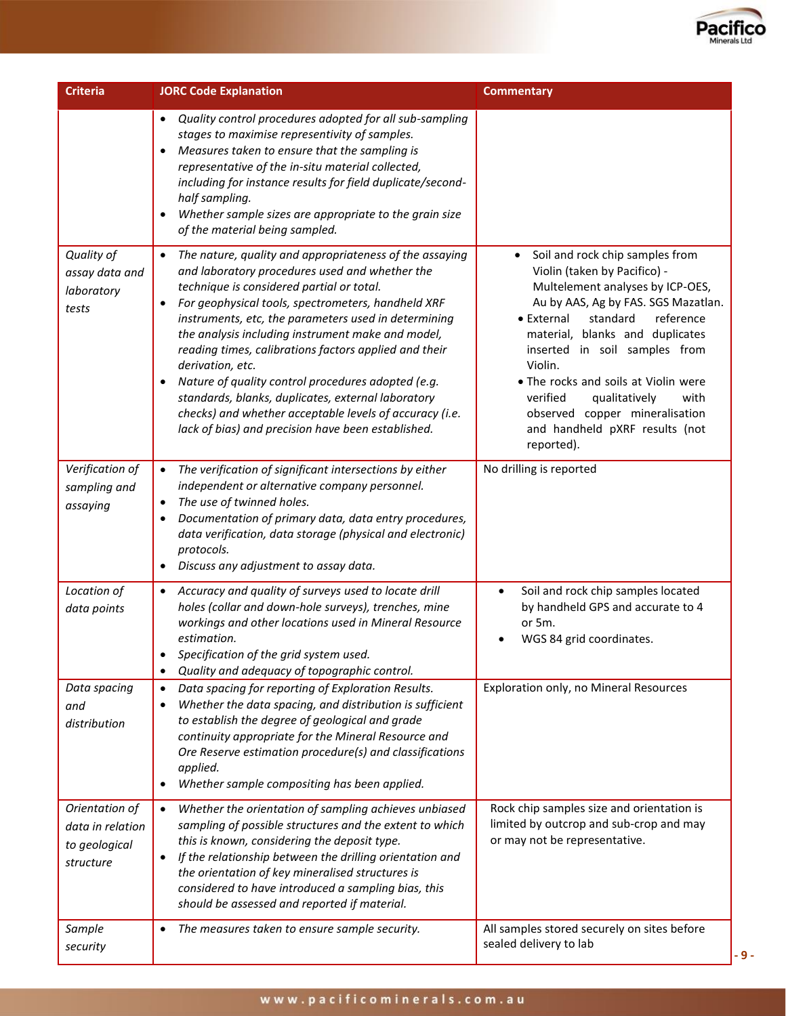

| <b>Criteria</b>                                                  | <b>JORC Code Explanation</b>                                                                                                                                                                                                                                                                                                                                                                                                                                                                                                                                                                                                                                       | <b>Commentary</b>                                                                                                                                                                                                                                                                                                                                                                                                               |
|------------------------------------------------------------------|--------------------------------------------------------------------------------------------------------------------------------------------------------------------------------------------------------------------------------------------------------------------------------------------------------------------------------------------------------------------------------------------------------------------------------------------------------------------------------------------------------------------------------------------------------------------------------------------------------------------------------------------------------------------|---------------------------------------------------------------------------------------------------------------------------------------------------------------------------------------------------------------------------------------------------------------------------------------------------------------------------------------------------------------------------------------------------------------------------------|
|                                                                  | Quality control procedures adopted for all sub-sampling<br>$\bullet$<br>stages to maximise representivity of samples.<br>Measures taken to ensure that the sampling is<br>$\bullet$<br>representative of the in-situ material collected,<br>including for instance results for field duplicate/second-<br>half sampling.<br>Whether sample sizes are appropriate to the grain size<br>$\bullet$<br>of the material being sampled.                                                                                                                                                                                                                                  |                                                                                                                                                                                                                                                                                                                                                                                                                                 |
| Quality of<br>assay data and<br>laboratory<br>tests              | The nature, quality and appropriateness of the assaying<br>$\bullet$<br>and laboratory procedures used and whether the<br>technique is considered partial or total.<br>For geophysical tools, spectrometers, handheld XRF<br>٠<br>instruments, etc, the parameters used in determining<br>the analysis including instrument make and model,<br>reading times, calibrations factors applied and their<br>derivation, etc.<br>Nature of quality control procedures adopted (e.g.<br>$\bullet$<br>standards, blanks, duplicates, external laboratory<br>checks) and whether acceptable levels of accuracy (i.e.<br>lack of bias) and precision have been established. | Soil and rock chip samples from<br>Violin (taken by Pacifico) -<br>Multelement analyses by ICP-OES,<br>Au by AAS, Ag by FAS. SGS Mazatlan.<br>standard<br>• External<br>reference<br>material, blanks and duplicates<br>inserted in soil samples from<br>Violin.<br>• The rocks and soils at Violin were<br>verified<br>qualitatively<br>with<br>observed copper mineralisation<br>and handheld pXRF results (not<br>reported). |
| Verification of<br>sampling and<br>assaying                      | The verification of significant intersections by either<br>$\bullet$<br>independent or alternative company personnel.<br>The use of twinned holes.<br>$\bullet$<br>Documentation of primary data, data entry procedures,<br>$\bullet$<br>data verification, data storage (physical and electronic)<br>protocols.<br>Discuss any adjustment to assay data.<br>$\bullet$                                                                                                                                                                                                                                                                                             | No drilling is reported                                                                                                                                                                                                                                                                                                                                                                                                         |
| Location of<br>data points                                       | Accuracy and quality of surveys used to locate drill<br>$\bullet$<br>holes (collar and down-hole surveys), trenches, mine<br>workings and other locations used in Mineral Resource<br>estimation.<br>Specification of the grid system used.<br>Quality and adequacy of topographic control.<br>$\bullet$                                                                                                                                                                                                                                                                                                                                                           | Soil and rock chip samples located<br>$\bullet$<br>by handheld GPS and accurate to 4<br>or 5m.<br>WGS 84 grid coordinates.                                                                                                                                                                                                                                                                                                      |
| Data spacing<br>and<br>distribution                              | Data spacing for reporting of Exploration Results.<br>$\bullet$<br>Whether the data spacing, and distribution is sufficient<br>$\bullet$<br>to establish the degree of geological and grade<br>continuity appropriate for the Mineral Resource and<br>Ore Reserve estimation procedure(s) and classifications<br>applied.<br>Whether sample compositing has been applied.<br>$\bullet$                                                                                                                                                                                                                                                                             | Exploration only, no Mineral Resources                                                                                                                                                                                                                                                                                                                                                                                          |
| Orientation of<br>data in relation<br>to geological<br>structure | Whether the orientation of sampling achieves unbiased<br>$\bullet$<br>sampling of possible structures and the extent to which<br>this is known, considering the deposit type.<br>If the relationship between the drilling orientation and<br>$\bullet$<br>the orientation of key mineralised structures is<br>considered to have introduced a sampling bias, this<br>should be assessed and reported if material.                                                                                                                                                                                                                                                  | Rock chip samples size and orientation is<br>limited by outcrop and sub-crop and may<br>or may not be representative.                                                                                                                                                                                                                                                                                                           |
| Sample<br>security                                               | The measures taken to ensure sample security.<br>$\bullet$                                                                                                                                                                                                                                                                                                                                                                                                                                                                                                                                                                                                         | All samples stored securely on sites before<br>sealed delivery to lab                                                                                                                                                                                                                                                                                                                                                           |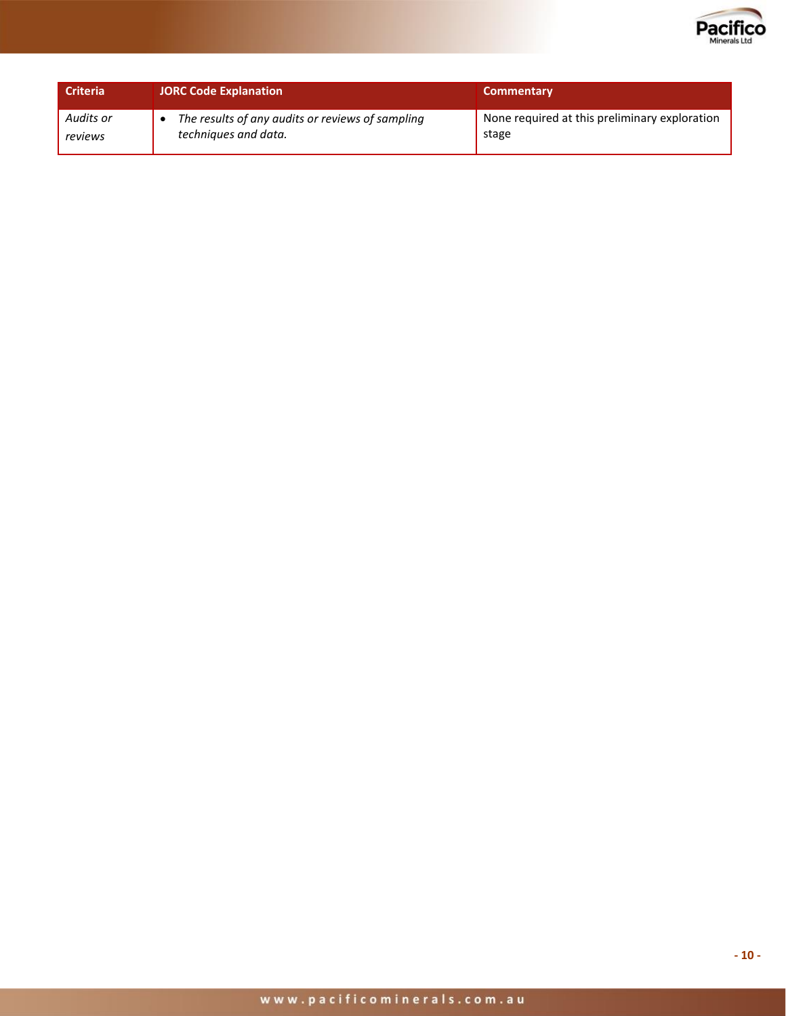

| Criteria  | <b>JORC Code Explanation</b>                     | <b>Commentary</b>                             |
|-----------|--------------------------------------------------|-----------------------------------------------|
| Audits or | The results of any audits or reviews of sampling | None required at this preliminary exploration |
| reviews   | techniques and data.                             | stage                                         |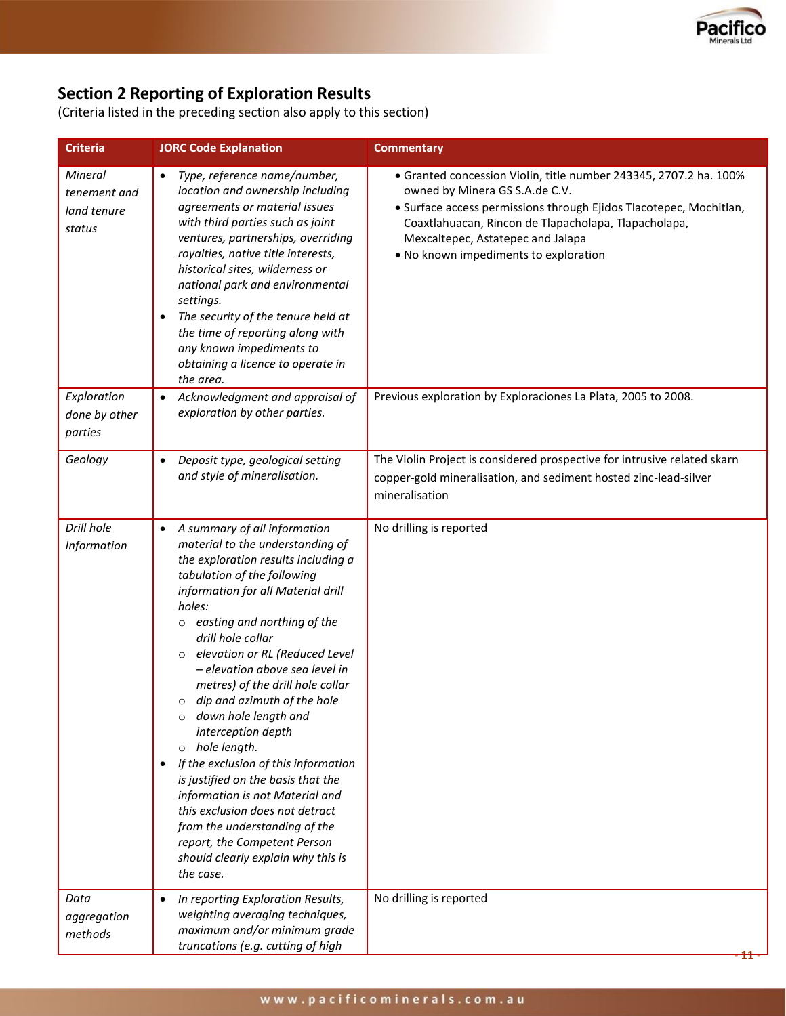

# **Section 2 Reporting of Exploration Results**

(Criteria listed in the preceding section also apply to this section)

| <b>Criteria</b>                                  | <b>JORC Code Explanation</b>                                                                                                                                                                                                                                                                                                                                                                                                                                                                                                                                                                                                                                                                                                                                                       | <b>Commentary</b>                                                                                                                                                                                                                                                                                               |
|--------------------------------------------------|------------------------------------------------------------------------------------------------------------------------------------------------------------------------------------------------------------------------------------------------------------------------------------------------------------------------------------------------------------------------------------------------------------------------------------------------------------------------------------------------------------------------------------------------------------------------------------------------------------------------------------------------------------------------------------------------------------------------------------------------------------------------------------|-----------------------------------------------------------------------------------------------------------------------------------------------------------------------------------------------------------------------------------------------------------------------------------------------------------------|
| Mineral<br>tenement and<br>land tenure<br>status | Type, reference name/number,<br>$\bullet$<br>location and ownership including<br>agreements or material issues<br>with third parties such as joint<br>ventures, partnerships, overriding<br>royalties, native title interests,<br>historical sites, wilderness or<br>national park and environmental<br>settings.<br>The security of the tenure held at<br>$\bullet$<br>the time of reporting along with<br>any known impediments to<br>obtaining a licence to operate in<br>the area.                                                                                                                                                                                                                                                                                             | • Granted concession Violin, title number 243345, 2707.2 ha. 100%<br>owned by Minera GS S.A.de C.V.<br>• Surface access permissions through Ejidos Tlacotepec, Mochitlan,<br>Coaxtlahuacan, Rincon de Tlapacholapa, Tlapacholapa,<br>Mexcaltepec, Astatepec and Jalapa<br>. No known impediments to exploration |
| Exploration<br>done by other<br>parties          | Acknowledgment and appraisal of<br>$\bullet$<br>exploration by other parties.                                                                                                                                                                                                                                                                                                                                                                                                                                                                                                                                                                                                                                                                                                      | Previous exploration by Exploraciones La Plata, 2005 to 2008.                                                                                                                                                                                                                                                   |
| Geology                                          | Deposit type, geological setting<br>$\bullet$<br>and style of mineralisation.                                                                                                                                                                                                                                                                                                                                                                                                                                                                                                                                                                                                                                                                                                      | The Violin Project is considered prospective for intrusive related skarn<br>copper-gold mineralisation, and sediment hosted zinc-lead-silver<br>mineralisation                                                                                                                                                  |
| Drill hole<br>Information                        | A summary of all information<br>$\bullet$<br>material to the understanding of<br>the exploration results including a<br>tabulation of the following<br>information for all Material drill<br>holes:<br>easting and northing of the<br>$\circ$<br>drill hole collar<br>elevation or RL (Reduced Level<br>$\circ$<br>- elevation above sea level in<br>metres) of the drill hole collar<br>dip and azimuth of the hole<br>$\circ$<br>down hole length and<br>$\circ$<br>interception depth<br>o hole length.<br>If the exclusion of this information<br>is justified on the basis that the<br>information is not Material and<br>this exclusion does not detract<br>from the understanding of the<br>report, the Competent Person<br>should clearly explain why this is<br>the case. | No drilling is reported                                                                                                                                                                                                                                                                                         |
| Data<br>aggregation<br>methods                   | In reporting Exploration Results,<br>weighting averaging techniques,<br>maximum and/or minimum grade<br>truncations (e.g. cutting of high                                                                                                                                                                                                                                                                                                                                                                                                                                                                                                                                                                                                                                          | No drilling is reported                                                                                                                                                                                                                                                                                         |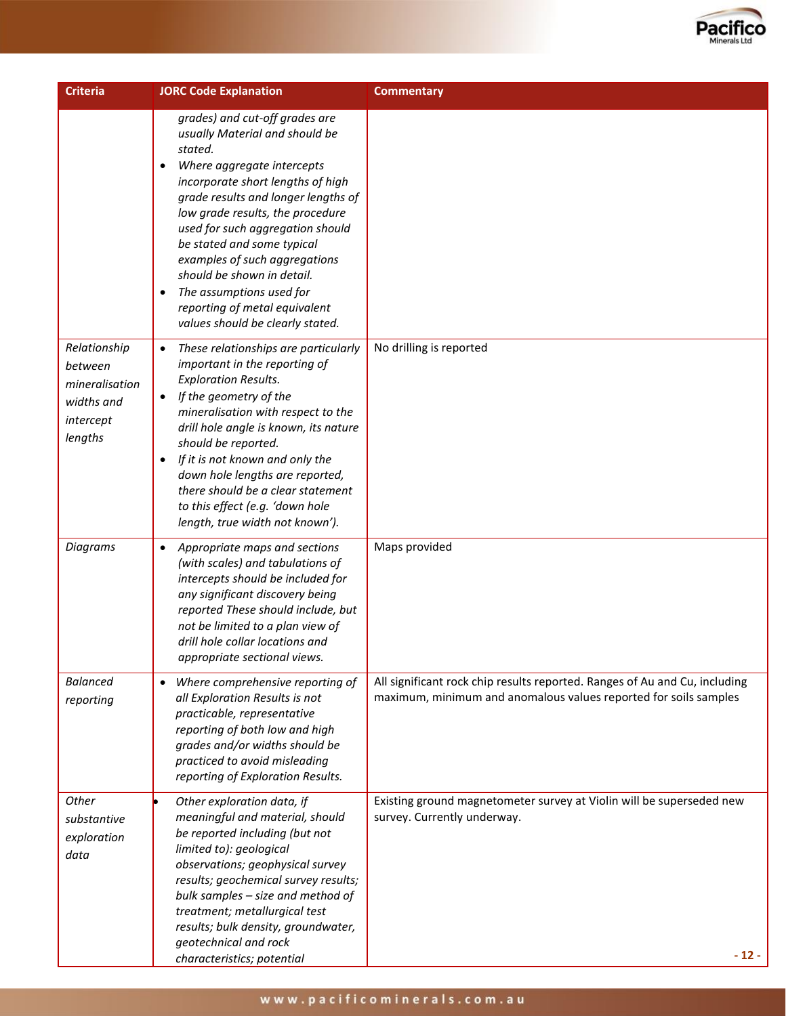

| <b>Criteria</b>                                                                 | <b>JORC Code Explanation</b>                                                                                                                                                                                                                                                                                                                                                                                                                                                          | <b>Commentary</b>                                                                                                                              |
|---------------------------------------------------------------------------------|---------------------------------------------------------------------------------------------------------------------------------------------------------------------------------------------------------------------------------------------------------------------------------------------------------------------------------------------------------------------------------------------------------------------------------------------------------------------------------------|------------------------------------------------------------------------------------------------------------------------------------------------|
|                                                                                 | grades) and cut-off grades are<br>usually Material and should be<br>stated.<br>Where aggregate intercepts<br>$\bullet$<br>incorporate short lengths of high<br>grade results and longer lengths of<br>low grade results, the procedure<br>used for such aggregation should<br>be stated and some typical<br>examples of such aggregations<br>should be shown in detail.<br>The assumptions used for<br>$\bullet$<br>reporting of metal equivalent<br>values should be clearly stated. |                                                                                                                                                |
| Relationship<br>between<br>mineralisation<br>widths and<br>intercept<br>lengths | These relationships are particularly<br>$\bullet$<br>important in the reporting of<br><b>Exploration Results.</b><br>If the geometry of the<br>$\bullet$<br>mineralisation with respect to the<br>drill hole angle is known, its nature<br>should be reported.<br>If it is not known and only the<br>$\bullet$<br>down hole lengths are reported,<br>there should be a clear statement<br>to this effect (e.g. 'down hole<br>length, true width not known').                          | No drilling is reported                                                                                                                        |
| <b>Diagrams</b>                                                                 | Appropriate maps and sections<br>$\bullet$<br>(with scales) and tabulations of<br>intercepts should be included for<br>any significant discovery being<br>reported These should include, but<br>not be limited to a plan view of<br>drill hole collar locations and<br>appropriate sectional views.                                                                                                                                                                                   | Maps provided                                                                                                                                  |
| <b>Balanced</b><br>reporting                                                    | Where comprehensive reporting of<br>$\bullet$<br>all Exploration Results is not<br>practicable, representative<br>reporting of both low and high<br>grades and/or widths should be<br>practiced to avoid misleading<br>reporting of Exploration Results.                                                                                                                                                                                                                              | All significant rock chip results reported. Ranges of Au and Cu, including<br>maximum, minimum and anomalous values reported for soils samples |
| Other<br>substantive<br>exploration<br>data                                     | Other exploration data, if<br>meaningful and material, should<br>be reported including (but not<br>limited to): geological<br>observations; geophysical survey<br>results; geochemical survey results;<br>bulk samples - size and method of<br>treatment; metallurgical test<br>results; bulk density, groundwater,<br>geotechnical and rock<br>characteristics; potential                                                                                                            | Existing ground magnetometer survey at Violin will be superseded new<br>survey. Currently underway.<br>$-12-$                                  |